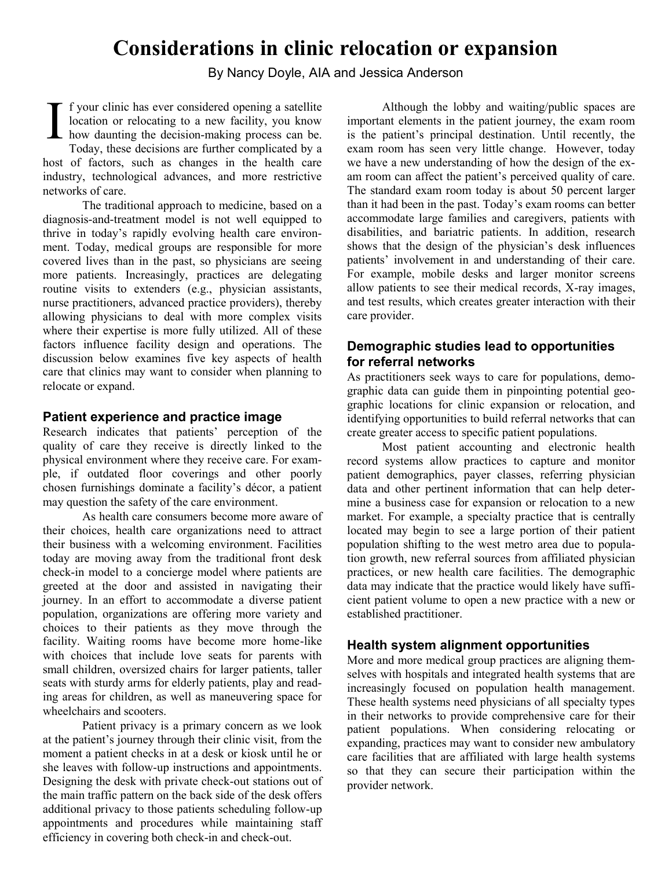# **Considerations in clinic relocation or expansion**

By Nancy Doyle, AIA and Jessica Anderson

f your clinic has ever considered opening a satellite location or relocating to a new facility, you know how daunting the decision-making process can be. Today, these decisions are further complicated by a host of factors, such as changes in the health care industry, technological advances, and more restrictive networks of care. I

The traditional approach to medicine, based on a diagnosis-and-treatment model is not well equipped to thrive in today's rapidly evolving health care environment. Today, medical groups are responsible for more covered lives than in the past, so physicians are seeing more patients. Increasingly, practices are delegating routine visits to extenders (e.g., physician assistants, nurse practitioners, advanced practice providers), thereby allowing physicians to deal with more complex visits where their expertise is more fully utilized. All of these factors influence facility design and operations. The discussion below examines five key aspects of health care that clinics may want to consider when planning to relocate or expand.

#### **Patient experience and practice image**

Research indicates that patients' perception of the quality of care they receive is directly linked to the physical environment where they receive care. For example, if outdated floor coverings and other poorly chosen furnishings dominate a facility's décor, a patient may question the safety of the care environment.

As health care consumers become more aware of their choices, health care organizations need to attract their business with a welcoming environment. Facilities today are moving away from the traditional front desk check-in model to a concierge model where patients are greeted at the door and assisted in navigating their journey. In an effort to accommodate a diverse patient population, organizations are offering more variety and choices to their patients as they move through the facility. Waiting rooms have become more home-like with choices that include love seats for parents with small children, oversized chairs for larger patients, taller seats with sturdy arms for elderly patients, play and reading areas for children, as well as maneuvering space for wheelchairs and scooters.

Patient privacy is a primary concern as we look at the patient's journey through their clinic visit, from the moment a patient checks in at a desk or kiosk until he or she leaves with follow-up instructions and appointments. Designing the desk with private check-out stations out of the main traffic pattern on the back side of the desk offers additional privacy to those patients scheduling follow-up appointments and procedures while maintaining staff efficiency in covering both check-in and check-out.

Although the lobby and waiting/public spaces are important elements in the patient journey, the exam room is the patient's principal destination. Until recently, the exam room has seen very little change. However, today we have a new understanding of how the design of the exam room can affect the patient's perceived quality of care. The standard exam room today is about 50 percent larger than it had been in the past. Today's exam rooms can better accommodate large families and caregivers, patients with disabilities, and bariatric patients. In addition, research shows that the design of the physician's desk influences patients' involvement in and understanding of their care. For example, mobile desks and larger monitor screens allow patients to see their medical records, X-ray images, and test results, which creates greater interaction with their care provider.

## **Demographic studies lead to opportunities for referral networks**

As practitioners seek ways to care for populations, demographic data can guide them in pinpointing potential geographic locations for clinic expansion or relocation, and identifying opportunities to build referral networks that can create greater access to specific patient populations.

Most patient accounting and electronic health record systems allow practices to capture and monitor patient demographics, payer classes, referring physician data and other pertinent information that can help determine a business case for expansion or relocation to a new market. For example, a specialty practice that is centrally located may begin to see a large portion of their patient population shifting to the west metro area due to population growth, new referral sources from affiliated physician practices, or new health care facilities. The demographic data may indicate that the practice would likely have sufficient patient volume to open a new practice with a new or established practitioner.

#### **Health system alignment opportunities**

More and more medical group practices are aligning themselves with hospitals and integrated health systems that are increasingly focused on population health management. These health systems need physicians of all specialty types in their networks to provide comprehensive care for their patient populations. When considering relocating or expanding, practices may want to consider new ambulatory care facilities that are affiliated with large health systems so that they can secure their participation within the provider network.